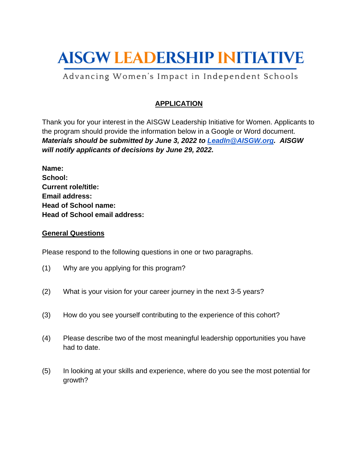# **AISGW LEADERSHIP INITIATIVE**

## Advancing Women's Impact in Independent Schools

### **APPLICATION**

Thank you for your interest in the AISGW Leadership Initiative for Women. Applicants to the program should provide the information below in a Google or Word document. *Materials should be submitted by June 3, 2022 to [LeadIn@AISGW.org.](mailto:LeadIn@AISGW.org) AISGW will notify applicants of decisions by June 29, 2022.*

| Name:                                |  |
|--------------------------------------|--|
| School:                              |  |
| <b>Current role/title:</b>           |  |
| <b>Email address:</b>                |  |
| <b>Head of School name:</b>          |  |
| <b>Head of School email address:</b> |  |

#### **General Questions**

Please respond to the following questions in one or two paragraphs.

- (1) Why are you applying for this program?
- (2) What is your vision for your career journey in the next 3-5 years?
- (3) How do you see yourself contributing to the experience of this cohort?
- (4) Please describe two of the most meaningful leadership opportunities you have had to date.
- (5) In looking at your skills and experience, where do you see the most potential for growth?